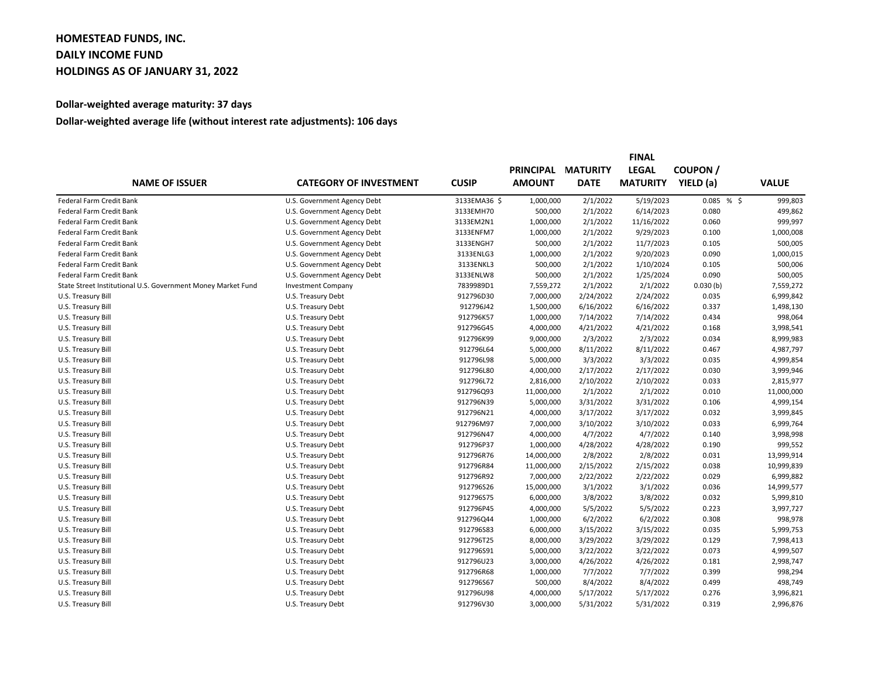## **HOMESTEAD FUNDS, INC. DAILY INCOME FUND HOLDINGS AS OF JANUARY 31, 2022**

## **Dollar-weighted average maturity: 37 days**

## **Dollar-weighted average life (without interest rate adjustments): 106 days**

|                                                              | <b>CATEGORY OF INVESTMENT</b> |              |                  |                 |                 |               |              |
|--------------------------------------------------------------|-------------------------------|--------------|------------------|-----------------|-----------------|---------------|--------------|
| <b>NAME OF ISSUER</b>                                        |                               | <b>CUSIP</b> | <b>PRINCIPAL</b> | <b>MATURITY</b> | <b>LEGAL</b>    | <b>COUPON</b> |              |
|                                                              |                               |              | <b>AMOUNT</b>    | <b>DATE</b>     | <b>MATURITY</b> | YIELD (a)     | <b>VALUE</b> |
| Federal Farm Credit Bank                                     | U.S. Government Agency Debt   | 3133EMA36 \$ | 1,000,000        | 2/1/2022        | 5/19/2023       | 0.085%        | 999,803      |
| Federal Farm Credit Bank                                     | U.S. Government Agency Debt   | 3133EMH70    | 500,000          | 2/1/2022        | 6/14/2023       | 0.080         | 499,862      |
| Federal Farm Credit Bank                                     | U.S. Government Agency Debt   | 3133EM2N1    | 1,000,000        | 2/1/2022        | 11/16/2022      | 0.060         | 999,997      |
| Federal Farm Credit Bank                                     | U.S. Government Agency Debt   | 3133ENFM7    | 1,000,000        | 2/1/2022        | 9/29/2023       | 0.100         | 1,000,008    |
| Federal Farm Credit Bank                                     | U.S. Government Agency Debt   | 3133ENGH7    | 500,000          | 2/1/2022        | 11/7/2023       | 0.105         | 500,005      |
| Federal Farm Credit Bank                                     | U.S. Government Agency Debt   | 3133ENLG3    | 1,000,000        | 2/1/2022        | 9/20/2023       | 0.090         | 1,000,015    |
| Federal Farm Credit Bank                                     | U.S. Government Agency Debt   | 3133ENKL3    | 500,000          | 2/1/2022        | 1/10/2024       | 0.105         | 500,006      |
| Federal Farm Credit Bank                                     | U.S. Government Agency Debt   | 3133ENLW8    | 500,000          | 2/1/2022        | 1/25/2024       | 0.090         | 500,005      |
| State Street Institutional U.S. Government Money Market Fund | <b>Investment Company</b>     | 7839989D1    | 7,559,272        | 2/1/2022        | 2/1/2022        | 0.030(b)      | 7,559,272    |
| U.S. Treasury Bill                                           | U.S. Treasury Debt            | 912796D30    | 7,000,000        | 2/24/2022       | 2/24/2022       | 0.035         | 6,999,842    |
| U.S. Treasury Bill                                           | U.S. Treasury Debt            | 912796J42    | 1,500,000        | 6/16/2022       | 6/16/2022       | 0.337         | 1,498,130    |
| U.S. Treasury Bill                                           | U.S. Treasury Debt            | 912796K57    | 1,000,000        | 7/14/2022       | 7/14/2022       | 0.434         | 998,064      |
| U.S. Treasury Bill                                           | U.S. Treasury Debt            | 912796G45    | 4,000,000        | 4/21/2022       | 4/21/2022       | 0.168         | 3,998,541    |
| U.S. Treasury Bill                                           | U.S. Treasury Debt            | 912796K99    | 9,000,000        | 2/3/2022        | 2/3/2022        | 0.034         | 8,999,983    |
| U.S. Treasury Bill                                           | U.S. Treasury Debt            | 912796L64    | 5,000,000        | 8/11/2022       | 8/11/2022       | 0.467         | 4,987,797    |
| U.S. Treasury Bill                                           | U.S. Treasury Debt            | 912796L98    | 5,000,000        | 3/3/2022        | 3/3/2022        | 0.035         | 4,999,854    |
| U.S. Treasury Bill                                           | U.S. Treasury Debt            | 912796L80    | 4,000,000        | 2/17/2022       | 2/17/2022       | 0.030         | 3,999,946    |
| U.S. Treasury Bill                                           | U.S. Treasury Debt            | 912796L72    | 2,816,000        | 2/10/2022       | 2/10/2022       | 0.033         | 2,815,977    |
| U.S. Treasury Bill                                           | U.S. Treasury Debt            | 912796Q93    | 11,000,000       | 2/1/2022        | 2/1/2022        | 0.010         | 11,000,000   |
| U.S. Treasury Bill                                           | U.S. Treasury Debt            | 912796N39    | 5,000,000        | 3/31/2022       | 3/31/2022       | 0.106         | 4,999,154    |
| U.S. Treasury Bill                                           | U.S. Treasury Debt            | 912796N21    | 4,000,000        | 3/17/2022       | 3/17/2022       | 0.032         | 3,999,845    |
| U.S. Treasury Bill                                           | U.S. Treasury Debt            | 912796M97    | 7,000,000        | 3/10/2022       | 3/10/2022       | 0.033         | 6,999,764    |
| U.S. Treasury Bill                                           | U.S. Treasury Debt            | 912796N47    | 4,000,000        | 4/7/2022        | 4/7/2022        | 0.140         | 3,998,998    |
| U.S. Treasury Bill                                           | U.S. Treasury Debt            | 912796P37    | 1,000,000        | 4/28/2022       | 4/28/2022       | 0.190         | 999,552      |
| U.S. Treasury Bill                                           | U.S. Treasury Debt            | 912796R76    | 14,000,000       | 2/8/2022        | 2/8/2022        | 0.031         | 13,999,914   |
| U.S. Treasury Bill                                           | U.S. Treasury Debt            | 912796R84    | 11,000,000       | 2/15/2022       | 2/15/2022       | 0.038         | 10,999,839   |
| U.S. Treasury Bill                                           | U.S. Treasury Debt            | 912796R92    | 7,000,000        | 2/22/2022       | 2/22/2022       | 0.029         | 6,999,882    |
| U.S. Treasury Bill                                           | U.S. Treasury Debt            | 912796S26    | 15,000,000       | 3/1/2022        | 3/1/2022        | 0.036         | 14,999,577   |
| U.S. Treasury Bill                                           | U.S. Treasury Debt            | 912796S75    | 6,000,000        | 3/8/2022        | 3/8/2022        | 0.032         | 5,999,810    |
| U.S. Treasury Bill                                           | U.S. Treasury Debt            | 912796P45    | 4,000,000        | 5/5/2022        | 5/5/2022        | 0.223         | 3,997,727    |
| U.S. Treasury Bill                                           | U.S. Treasury Debt            | 912796Q44    | 1,000,000        | 6/2/2022        | 6/2/2022        | 0.308         | 998,978      |
| U.S. Treasury Bill                                           | U.S. Treasury Debt            | 912796S83    | 6,000,000        | 3/15/2022       | 3/15/2022       | 0.035         | 5,999,753    |
| U.S. Treasury Bill                                           | U.S. Treasury Debt            | 912796T25    | 8,000,000        | 3/29/2022       | 3/29/2022       | 0.129         | 7,998,413    |
| U.S. Treasury Bill                                           | U.S. Treasury Debt            | 912796S91    | 5,000,000        | 3/22/2022       | 3/22/2022       | 0.073         | 4,999,507    |
| U.S. Treasury Bill                                           | U.S. Treasury Debt            | 912796U23    | 3,000,000        | 4/26/2022       | 4/26/2022       | 0.181         | 2,998,747    |
| U.S. Treasury Bill                                           | U.S. Treasury Debt            | 912796R68    | 1,000,000        | 7/7/2022        | 7/7/2022        | 0.399         | 998,294      |
| U.S. Treasury Bill                                           | U.S. Treasury Debt            | 912796S67    | 500,000          | 8/4/2022        | 8/4/2022        | 0.499         | 498,749      |
| U.S. Treasury Bill                                           | U.S. Treasury Debt            | 912796U98    | 4,000,000        | 5/17/2022       | 5/17/2022       | 0.276         | 3,996,821    |
| U.S. Treasury Bill                                           | U.S. Treasury Debt            | 912796V30    | 3,000,000        | 5/31/2022       | 5/31/2022       | 0.319         | 2,996,876    |